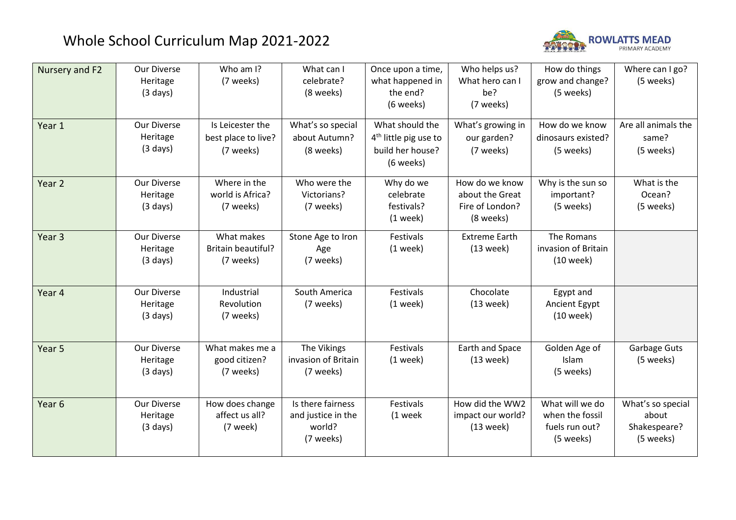## Whole School Curriculum Map 2021-2022



| Nursery and F2<br>Year 1 | Our Diverse<br>Heritage<br>$(3 \text{ days})$<br>Our Diverse<br>Heritage<br>$(3 \text{ days})$ | Who am I?<br>(7 weeks)<br>Is Leicester the<br>best place to live?<br>(7 weeks) | What can I<br>celebrate?<br>(8 weeks)<br>What's so special<br>about Autumn?<br>(8 weeks) | Once upon a time,<br>what happened in<br>the end?<br>(6 weeks)<br>What should the<br>$4th$ little pig use to<br>build her house?<br>(6 weeks) | Who helps us?<br>What hero can I<br>be?<br>(7 weeks)<br>What's growing in<br>our garden?<br>(7 weeks) | How do things<br>grow and change?<br>(5 weeks)<br>How do we know<br>dinosaurs existed?<br>(5 weeks) | Where can I go?<br>(5 weeks)<br>Are all animals the<br>same?<br>(5 weeks) |
|--------------------------|------------------------------------------------------------------------------------------------|--------------------------------------------------------------------------------|------------------------------------------------------------------------------------------|-----------------------------------------------------------------------------------------------------------------------------------------------|-------------------------------------------------------------------------------------------------------|-----------------------------------------------------------------------------------------------------|---------------------------------------------------------------------------|
| Year 2                   | <b>Our Diverse</b><br>Heritage<br>$(3 \text{ days})$                                           | Where in the<br>world is Africa?<br>(7 weeks)                                  | Who were the<br>Victorians?<br>(7 weeks)                                                 | Why do we<br>celebrate<br>festivals?<br>$(1$ week)                                                                                            | How do we know<br>about the Great<br>Fire of London?<br>(8 weeks)                                     | Why is the sun so<br>important?<br>(5 weeks)                                                        | What is the<br>Ocean?<br>(5 weeks)                                        |
| Year 3                   | Our Diverse<br>Heritage<br>$(3 \text{ days})$                                                  | What makes<br><b>Britain beautiful?</b><br>(7 weeks)                           | Stone Age to Iron<br>Age<br>(7 weeks)                                                    | Festivals<br>$(1$ week)                                                                                                                       | <b>Extreme Earth</b><br>$(13$ week)                                                                   | The Romans<br>invasion of Britain<br>$(10$ week)                                                    |                                                                           |
| Year 4                   | <b>Our Diverse</b><br>Heritage<br>$(3 \text{ days})$                                           | Industrial<br>Revolution<br>(7 weeks)                                          | South America<br>(7 weeks)                                                               | Festivals<br>$(1$ week)                                                                                                                       | Chocolate<br>(13 week)                                                                                | Egypt and<br>Ancient Egypt<br>$(10$ week)                                                           |                                                                           |
| Year 5                   | Our Diverse<br>Heritage<br>$(3 \text{ days})$                                                  | What makes me a<br>good citizen?<br>(7 weeks)                                  | The Vikings<br>invasion of Britain<br>(7 weeks)                                          | Festivals<br>$(1$ week)                                                                                                                       | Earth and Space<br>(13 week)                                                                          | Golden Age of<br>Islam<br>(5 weeks)                                                                 | Garbage Guts<br>(5 weeks)                                                 |
| Year 6                   | Our Diverse<br>Heritage<br>$(3 \text{ days})$                                                  | How does change<br>affect us all?<br>(7 week)                                  | Is there fairness<br>and justice in the<br>world?<br>(7 weeks)                           | Festivals<br>(1 week                                                                                                                          | How did the WW2<br>impact our world?<br>(13 week)                                                     | What will we do<br>when the fossil<br>fuels run out?<br>(5 weeks)                                   | What's so special<br>about<br>Shakespeare?<br>(5 weeks)                   |